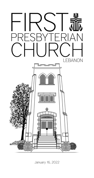

January 16, 2022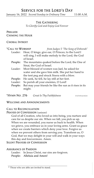# Service for the Lord's Day

January 16, 2022 *Second Sunday in Ordinary Time* 11:00 A.M.

### The Gathering

*To Glorify God and Enjoy God Forever*

### Prelude Chiming the Hour

#### Choral Introit

| *CALL TO WORSHIP | from Judges 5 "The Song of Deborah"                             |
|------------------|-----------------------------------------------------------------|
| Leader:          | Hear, O kings; give ear, O Princes; to the Lord I               |
|                  | will sing, I will make melody to the Lord, the God              |
|                  | of Israel.                                                      |
|                  | <b>People:</b> The mountains quaked before the Lord, the One of |
|                  | Sinai, the God of Israel.                                       |
|                  | Leader: Most blessed of women was Jael, he asked for            |
|                  | water and she gave him milk. She put her hand to                |
|                  | the tent peg and struck Sisera with a blow.                     |
| People:          | He sank, he fell, he lay still at her feet.                     |
| Leader:          | So perish all your enemies, O Lord!                             |
| People:          | But may your friends be like the sun as it rises in its         |
|                  | might.                                                          |
|                  |                                                                 |

\*Hymn No. 276 *Great Is Thy Faithfulness* faithfulness

#### WELCOME AND ANNOUNCEMENTS

#### Call to Reconciliation

#### PRAYER OF CONFESSION (unison)

God of all Creation, who loved us into being, you nurture and care for us despite our sin. When we fall, you pick us up. When we are wounded, you nurse us back to health. When we grieve, you embrace us in your loving arms. Grant us grace when we create barriers which deny your love. Forgive us when we prevent others from serving you. Transform us, O God, that we may delight in your will and walk in your ways this day and forevermore. Amen.

## Silent Prayers of Confession

#### Assurance of Pardon

Leader: In Jesus Christ, our sins are forgiven. People: Alleluia and Amen!

<sup>\*</sup> Those who are able are invited to stand.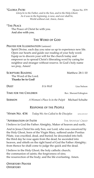#### \*GLORIA PATRI Hymn No. 579

*Glory be to the Father, and to the Son, and to the Holy Ghost; As it was in the beginning, is now, and ever shall be, World without end. Amen, Amen.*

#### \*The Peace

The Peace of Christ be with you. And also with you.

### The Word of God

#### PRAYER FOR ILLUMINATION (unison)

Spirit Divine, each day you raise us up to experience new life. Open our hearts and guide our reading of your holy word. Equip us to discern your will for the church today and empower us to spread Christ's liberating word by caring for neighbor and stranger without reserve. In God's holy name we pray, Amen!

SCRIPTURE READING Matthew 28:1-10 The Word of the Lord. **Thanks be to God!**

**DUET** *It Is Well* Lisa Nelson TIME FOR THE CHILDREN Rev. Sherard Edington

Sermon *A Woman's Place Is in the Pulpit* Michael Schulte

### Response of the People

\*Hymn No. 434 *Today We Are Called to Be Disciples* kingsfold

#### \*Affirmation of Faith The Apostles' Creed

I believe in God the Father Almighty, Maker of heaven and earth,

And in Jesus Christ his only Son, our Lord, who was conceived by the Holy Ghost, born of the Virgin Mary, suffered under Pontius Pilate, was crucified, dead, and buried; he descended into hell; the third day he rose again from the dead; he ascended into heaven, and sitteth on the right hand of God the Father Almighty; from thence he shall come to judge the quick and the dead.

I believe in the Holy Ghost; the holy catholic church; the communion of saints; the forgiveness of sins; the resurrection of the body; and the life everlasting. Amen.

Offertory Prayer **OFFERTORY**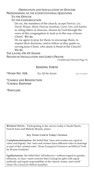#### ORDINATION AND INSTALLATION OF OFFICERS PROPOUNDING OF THE CONSTITUTIONAL QUESTIONS TO THE OFFICER

## TO THE CONGREGATION

Do we, the members of the church, accept *Patricia, Lee, David, Wayne, Mark, Patricia, Jonathan, Carol, Van, and Sandra* as ruling elders or deacons, chosen by God through the voice of this congregation to lead us in the way of Jesus Christ? We do.

Do we agree to pray for them, to encourage them, to respect their decisions, and to follow as they guide us, serving Jesus Christ, who alone is Head of the Church? We do.

## THE LAYING ON OF HANDS PRAYER OF INSTALLATION AND LORD'S PRAYER

(Traditional) Hymnal Page 16

### Sending Forth

\*Hymn No. 526 *For All the Saints* sine nomine

\*Charge and Benediction \*Choral Response

\*Postlude

WORSHIP NOTES – Participating in the service today is Sarah Harris, French horn and Melody Mosely, piano.

### Key Terms Used in Today's Sermon

Complementarianism: the belief that "men and women are equal in value and dignity" but "men and women have different roles in marriage as part of the created order" (from *Evangelical Feminism and Biblical Truth* by Wayne Grudem).

Egalitarianism: the belief that "all believers—without regard to gender, ethnicity, or class—must exercise their God-given gifts with equal authority and equal responsibility in the church, home, and world" (from *The Council for Biblical Equality*).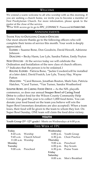We extend a warm welcome to all who worship with us this morning. If you are seeking a church home, we invite you to become a member of First Presbyterian Church. For more information, please speak to the pastor at the close of the service.

For WiFi access go to go to FPC\_CONNECT. Password 6154441360.

## Announcements

THANK YOU TO OUTGOING CHURCH OFFICERS

Our most sincere thanks go to the following officers who will complete their terms of service this month. Your work is deeply appreciated.

Elders – Suanne Bone, Don Goodwin, David Howell, Adrienne Johnson

Deacons – Becky Harm, Lee Lyle, Sandra Patton, Emily Peyton

NEW OFFICERS - At the service today we will celebrate the Ordination and Installation of the new class of church officers. (\* Indicates that the person is to be ordained.)

RULING ELDERS: Patricia Bone, \*Jackie Cowden(will be installed at a later date), David Foutch, Lee Lyle, Tracey Hay, Wayne Patton

Deacons: \*Carol Benson, Jonathan Bouton, Mark Fain, Patricia Hatcher, \*Carol Turner, \*Van Turner, Sandra Weatherford

Souper Bowl of Caring Food Drive – As the NFL playoffs commence, so does our annual Souper Bowl of Caring Food Drive to collect food for the Wilson County Community Help Center. Our goal this year is to collect 1,000 food items. You can donate your food based on the team you believe will win the Super Bowl (monetary donations are also accepted). When a team loses, their food will be given to the team to whom they lost. On Super Bowl Sunday, ONE team will claim the food drive victory.

## **YOUTH**

Youth Group (5<sup>th</sup> -12<sup>th</sup> grade) –Meets on Wednesdays at 6:00 p.m.

## This Week at FPC

| Today               |                         | Wednesday |                           |
|---------------------|-------------------------|-----------|---------------------------|
| 8:45 a.m. Worship   |                         |           | 6:00 p.m. Youth Group     |
|                     | 9:45 a.m. Church School |           | 6:30 p.m. Choir Practice  |
| 11:00 a.m. Worship  |                         | Thursday  |                           |
| Monday              |                         |           | 9:00 a.m. Preschool       |
| Tuesday             |                         |           | 6:00 p.m. Boy Scouts      |
| 9:00 a.m. Preschool |                         |           | 6:30 p.m. Praise Team     |
|                     |                         | Friday    |                           |
|                     |                         | Saturday  |                           |
|                     |                         |           | 8:00 a.m. Men's Breakfast |